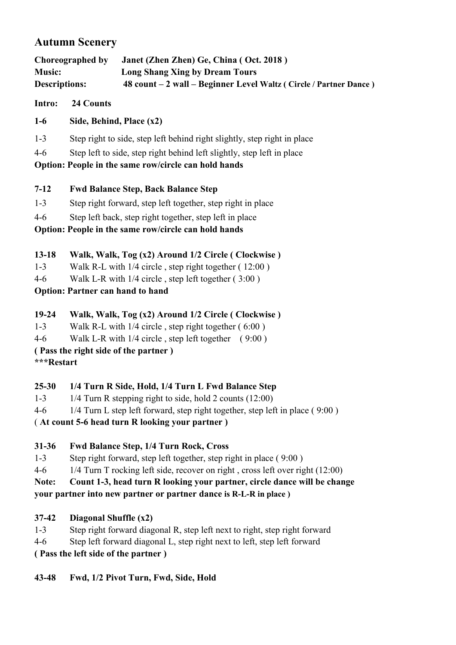# **Autumn Scenery**

| Choreographed by     | Janet (Zhen Zhen) Ge, China (Oct. 2018)                                  |
|----------------------|--------------------------------------------------------------------------|
| <b>Music:</b>        | <b>Long Shang Xing by Dream Tours</b>                                    |
| <b>Descriptions:</b> | $48$ count $-2$ wall $-$ Beginner Level Waltz ( Circle / Partner Dance ) |

**Intro: 24 Counts**

- **1-6 Side, Behind, Place (x2)**
- 1-3 Step right to side, step left behind right slightly, step right in place
- 4-6 Step left to side, step right behind left slightly, step left in place

**Option: People in the same row/circle can hold hands**

### **7-12 Fwd Balance Step, Back Balance Step**

- 1-3 Step right forward, step left together, step right in place
- 4-6 Step left back, step right together, step left in place

**Option: People in the same row/circle can hold hands**

- **13-18 Walk, Walk, Tog (x2) Around 1/2 Circle ( Clockwise )**
- 1-3 Walk R-L with 1/4 circle, step right together (12:00)
- 4-6 Walk L-R with 1/4 circle , step left together ( 3:00 )

**Option: Partner can hand tohand**

- **19-24 Walk, Walk, Tog (x2) Around 1/2 Circle ( Clockwise )**
- 1-3 Walk R-L with  $1/4$  circle, step right together  $(6:00)$
- 4-6 Walk L-R with 1/4 circle , step left together ( 9:00 )
- **( Pass the right side of the partner )**
- **\*\*\*Restart**

## **25-30 1/4 Turn R Side, Hold, 1/4 Turn L FwdBalance Step**

- 1-3 1/4 Turn R stepping right to side, hold 2 counts (12:00)
- 4-6  $1/4$  Turn L step left forward, step right together, step left in place (9:00)

## ( **At count 5-6 head turn R looking your partner )**

## **31-36 Fwd Balance Step, 1/4 Turn Rock, Cross**

- 1-3 Step right forward, step left together, step right in place ( 9:00 )
- 4-6 1/4 Turn T rocking left side, recover on right, cross left over right (12:00)

**Note: Count 1-3, head turn R looking your partner, circle dance will be change**

## **your partner into new partner or partner dance is R-L-R in place )**

## **37-42 Diagonal Shuffle (x2)**

- 1-3 Step right forward diagonal R, step left next to right, step right forward
- 4-6 Step left forward diagonal L, step right next to left, step left forward

**( Pass the left side of the partner )**

**43-48 Fwd, 1/2 Pivot Turn, Fwd, Side, Hold**